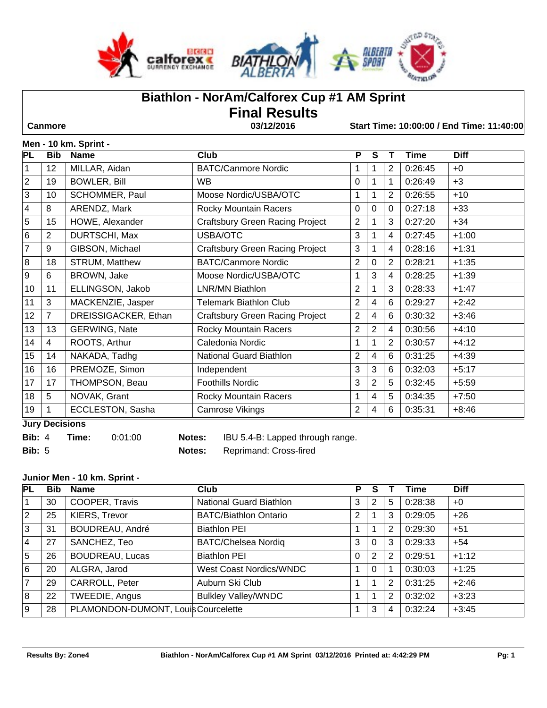



# **Biathlon - NorAm/Calforex Cup #1 AM Sprint Final Results**

 **Canmore 03/12/2016 Start Time: 10:00:00 / End Time: 11:40:00**

## **Men - 10 km. Sprint -**

| <b>PL</b> | <b>Bib</b>            | יייייי שני יינואי<br><b>Name</b> | Club                                   | P              | S              |                | Time    | <b>Diff</b> |
|-----------|-----------------------|----------------------------------|----------------------------------------|----------------|----------------|----------------|---------|-------------|
| 1         | 12                    | MILLAR, Aidan                    | <b>BATC/Canmore Nordic</b>             |                | 1              | 2              | 0:26:45 | $+0$        |
| 2         | 19                    | <b>BOWLER, Bill</b>              | WB                                     | $\mathbf{0}$   | 1              |                | 0:26:49 | $+3$        |
| 3         | 10                    | SCHOMMER, Paul                   | Moose Nordic/USBA/OTC                  |                |                | 2              | 0:26:55 | $+10$       |
| 4         | 8                     | ARENDZ, Mark                     | Rocky Mountain Racers                  | $\Omega$       | $\Omega$       | $\Omega$       | 0:27:18 | $+33$       |
| 5         | 15                    | HOWE, Alexander                  | <b>Craftsbury Green Racing Project</b> | $\overline{2}$ | 1              | 3              | 0:27:20 | $+34$       |
| 6         | $\overline{2}$        | DURTSCHI, Max                    | USBA/OTC                               | 3              | 1              | 4              | 0:27:45 | $+1:00$     |
| 7         | 9                     | GIBSON, Michael                  | <b>Craftsbury Green Racing Project</b> | 3              | 1              | 4              | 0:28:16 | $+1:31$     |
| 8         | 18                    | <b>STRUM, Matthew</b>            | <b>BATC/Canmore Nordic</b>             | 2              | $\Omega$       | $\overline{2}$ | 0:28:21 | $+1:35$     |
| 9         | 6                     | BROWN, Jake                      | Moose Nordic/USBA/OTC                  |                | 3              | 4              | 0:28:25 | $+1:39$     |
| 10        | 11                    | ELLINGSON, Jakob                 | LNR/MN Biathlon                        | 2              | 1              | 3              | 0:28:33 | $+1:47$     |
| 11        | 3                     | MACKENZIE, Jasper                | <b>Telemark Biathlon Club</b>          | $\overline{2}$ | $\overline{4}$ | 6              | 0:29:27 | $+2:42$     |
| 12        | $\overline{7}$        | DREISSIGACKER, Ethan             | <b>Craftsbury Green Racing Project</b> | $\overline{2}$ | 4              | 6              | 0:30:32 | $+3:46$     |
| 13        | 13                    | <b>GERWING, Nate</b>             | <b>Rocky Mountain Racers</b>           | 2              | $\overline{2}$ | 4              | 0:30:56 | $+4:10$     |
| 14        | $\overline{4}$        | ROOTS, Arthur                    | Caledonia Nordic                       |                | 1              | $\overline{2}$ | 0:30:57 | $+4:12$     |
| 15        | 14                    | NAKADA, Tadhg                    | National Guard Biathlon                | $\overline{2}$ | $\overline{4}$ | 6              | 0:31:25 | $+4:39$     |
| 16        | 16                    | PREMOZE, Simon                   | Independent                            | 3              | 3              | 6              | 0:32:03 | $+5:17$     |
| 17        | 17                    | THOMPSON, Beau                   | <b>Foothills Nordic</b>                | 3              | $\overline{2}$ | 5              | 0:32:45 | $+5:59$     |
| 18        | 5                     | NOVAK, Grant                     | Rocky Mountain Racers                  |                | 4              | 5              | 0:34:35 | $+7:50$     |
| 19        | 1                     | ECCLESTON, Sasha                 | Camrose Vikings                        | $\overline{2}$ | 4              | 6              | 0:35:31 | $+8:46$     |
|           | <b>Luny Depicions</b> |                                  |                                        |                |                |                |         |             |

**Jury Decisions**

**Bib:** 4 **Time:** 0:01:00 **Notes:** IBU 5.4-B: Lapped through range.

**Bib:** 5 **Notes:** Reprimand: Cross-fired

## **Junior Men - 10 km. Sprint -**

| <b>PL</b>      | <b>Bib</b> | <b>Name</b>                         | Club                           | P        |             |   | <b>Time</b> | <b>Diff</b> |
|----------------|------------|-------------------------------------|--------------------------------|----------|-------------|---|-------------|-------------|
|                | 30         | COOPER, Travis                      | <b>National Guard Biathlon</b> | 3        | 2           | 5 | 0:28:38     | $+0$        |
| $ 2\rangle$    | 25         | KIERS, Trevor                       | <b>BATC/Biathlon Ontario</b>   | 2        |             | 3 | 0:29:05     | $+26$       |
| Ιз             | 31         | <b>BOUDREAU, André</b>              | <b>Biathlon PEI</b>            |          | $\mathbf 1$ | 2 | 0:29:30     | $+51$       |
| <u> 4</u>      | 27         | SANCHEZ, Teo                        | <b>BATC/Chelsea Nordiq</b>     | 3        | $\Omega$    | 3 | 0:29:33     | $+54$       |
| 5              | 26         | <b>BOUDREAU, Lucas</b>              | <b>Biathlon PEI</b>            | $\Omega$ | 2           | 2 | 0:29:51     | $+1:12$     |
| 6              | 20         | ALGRA, Jarod                        | West Coast Nordics/WNDC        |          | $\Omega$    |   | 0:30:03     | $+1:25$     |
| $\overline{7}$ | 29         | CARROLL, Peter                      | Auburn Ski Club                |          | $\mathbf 1$ | 2 | 0:31:25     | $+2:46$     |
| 8              | 22         | TWEEDIE, Angus                      | <b>Bulkley Valley/WNDC</b>     |          | 1           | 2 | 0:32:02     | $+3:23$     |
| 9              | 28         | PLAMONDON-DUMONT, Louis Courcelette |                                |          | 3           | 4 | 0:32:24     | $+3:45$     |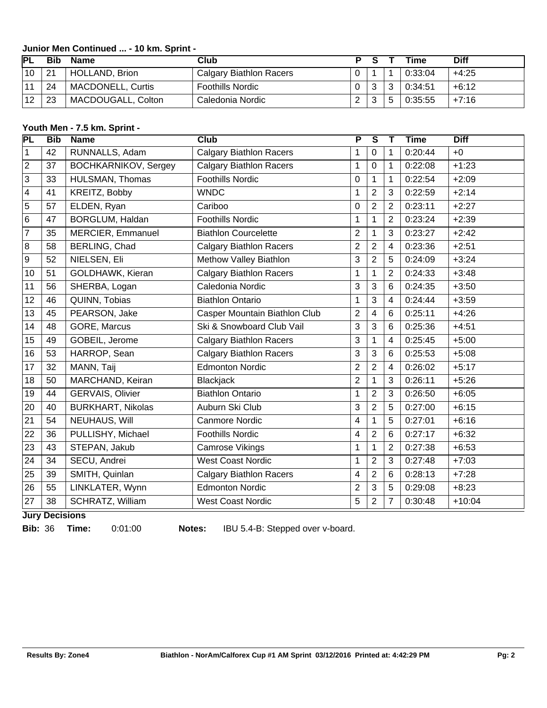## **Junior Men Continued ... - 10 km. Sprint -**

| IPL | Bib | Name                     | Club                           |              | Time    | <b>Diff</b> |
|-----|-----|--------------------------|--------------------------------|--------------|---------|-------------|
| 10  | 21  | HOLLAND, Brion           | <b>Calgary Biathlon Racers</b> |              | 0:33:04 | $+4:25$     |
| 11  | 24  | <b>MACDONELL, Curtis</b> | <b>Foothills Nordic</b>        | $\mathbf{r}$ | 0:34:51 | $+6:12$     |
| 12  | 23  | MACDOUGALL, Colton       | Caledonia Nordic               |              | 0:35:55 | +7:16       |

# **Youth Men - 7.5 km. Sprint -**

| <b>PL</b>      | <b>Bib</b> | <b>Name</b>                 | $\overline{\text{Club}}$       | $\overline{\mathsf{P}}$ | $\overline{\mathsf{s}}$ |                | <b>Time</b> | <b>Diff</b> |
|----------------|------------|-----------------------------|--------------------------------|-------------------------|-------------------------|----------------|-------------|-------------|
| 1              | 42         | RUNNALLS, Adam              | <b>Calgary Biathlon Racers</b> | 1                       | $\overline{0}$          | 1              | 0:20:44     | $+0$        |
| 2              | 37         | <b>BOCHKARNIKOV, Sergey</b> | <b>Calgary Biathlon Racers</b> | 1                       | $\mathbf 0$             | 1              | 0:22:08     | $+1:23$     |
| 3              | 33         | HULSMAN, Thomas             | <b>Foothills Nordic</b>        | $\mathbf 0$             | $\mathbf{1}$            | 1              | 0:22:54     | $+2:09$     |
| 4              | 41         | KREITZ, Bobby               | <b>WNDC</b>                    | 1                       | $\overline{2}$          | 3              | 0:22:59     | $+2:14$     |
| 5              | 57         | ELDEN, Ryan                 | Cariboo                        | 0                       | $\overline{2}$          | $\overline{2}$ | 0:23:11     | $+2:27$     |
| 6              | 47         | BORGLUM, Haldan             | <b>Foothills Nordic</b>        | 1                       | $\overline{1}$          | $\overline{2}$ | 0:23:24     | $+2:39$     |
| $\overline{7}$ | 35         | MERCIER, Emmanuel           | <b>Biathlon Courcelette</b>    | $\overline{2}$          | $\mathbf{1}$            | 3              | 0:23:27     | $+2:42$     |
| 8              | 58         | <b>BERLING, Chad</b>        | <b>Calgary Biathlon Racers</b> | $\overline{2}$          | $\overline{2}$          | $\overline{4}$ | 0:23:36     | $+2:51$     |
| 9              | 52         | NIELSEN, Eli                | Methow Valley Biathlon         | $\mathbf{3}$            | $\overline{2}$          | 5              | 0:24:09     | $+3:24$     |
| 10             | 51         | GOLDHAWK, Kieran            | <b>Calgary Biathlon Racers</b> | 1                       | $\mathbf{1}$            | $\overline{2}$ | 0:24:33     | $+3:48$     |
| 11             | 56         | SHERBA, Logan               | Caledonia Nordic               | $\mathbf{3}$            | 3                       | 6              | 0:24:35     | $+3:50$     |
| 12             | 46         | QUINN, Tobias               | <b>Biathlon Ontario</b>        | 1                       | $\overline{3}$          | $\overline{4}$ | 0:24:44     | $+3:59$     |
| 13             | 45         | PEARSON, Jake               | Casper Mountain Biathlon Club  | $\overline{2}$          | $\overline{4}$          | $6\phantom{1}$ | 0:25:11     | $+4:26$     |
| 14             | 48         | GORE, Marcus                | Ski & Snowboard Club Vail      | 3                       | 3                       | 6              | 0:25:36     | $+4:51$     |
| 15             | 49         | GOBEIL, Jerome              | <b>Calgary Biathlon Racers</b> | 3                       | $\mathbf{1}$            | $\overline{4}$ | 0:25:45     | $+5:00$     |
| 16             | 53         | HARROP, Sean                | <b>Calgary Biathlon Racers</b> | $\mathbf{3}$            | 3                       | $6\phantom{1}$ | 0:25:53     | $+5:08$     |
| 17             | 32         | MANN, Taij                  | <b>Edmonton Nordic</b>         | $\overline{2}$          | $\overline{2}$          | $\overline{4}$ | 0:26:02     | $+5:17$     |
| 18             | 50         | MARCHAND, Keiran            | Blackjack                      | $\overline{2}$          | $\mathbf{1}$            | 3              | 0:26:11     | $+5:26$     |
| 19             | 44         | <b>GERVAIS, Olivier</b>     | <b>Biathlon Ontario</b>        | 1                       | $\overline{2}$          | 3              | 0:26:50     | $+6:05$     |
| 20             | 40         | <b>BURKHART, Nikolas</b>    | Auburn Ski Club                | 3                       | $\overline{2}$          | 5              | 0:27:00     | $+6:15$     |
| 21             | 54         | NEUHAUS, Will               | <b>Canmore Nordic</b>          | 4                       | $\mathbf{1}$            | 5              | 0:27:01     | $+6:16$     |
| 22             | 36         | PULLISHY, Michael           | <b>Foothills Nordic</b>        | 4                       | $\overline{2}$          | $6\phantom{1}$ | 0:27:17     | $+6:32$     |
| 23             | 43         | STEPAN, Jakub               | Camrose Vikings                | 1                       | $\mathbf 1$             | 2              | 0:27:38     | $+6:53$     |
| 24             | 34         | SECU, Andrei                | <b>West Coast Nordic</b>       | 1                       | $\overline{2}$          | $\mathbf{3}$   | 0:27:48     | $+7:03$     |
| 25             | 39         | SMITH, Quinlan              | <b>Calgary Biathlon Racers</b> | 4                       | $\overline{2}$          | $6\phantom{1}$ | 0:28:13     | $+7:28$     |
| 26             | 55         | LINKLATER, Wynn             | <b>Edmonton Nordic</b>         | $\overline{2}$          | 3                       | 5              | 0:29:08     | $+8:23$     |
| 27             | 38         | SCHRATZ, William            | <b>West Coast Nordic</b>       | 5                       | $\overline{2}$          | $\overline{7}$ | 0:30:48     | $+10:04$    |

**Jury Decisions**

**Bib:** 36 **Time:** 0:01:00 **Notes:** IBU 5.4-B: Stepped over v-board.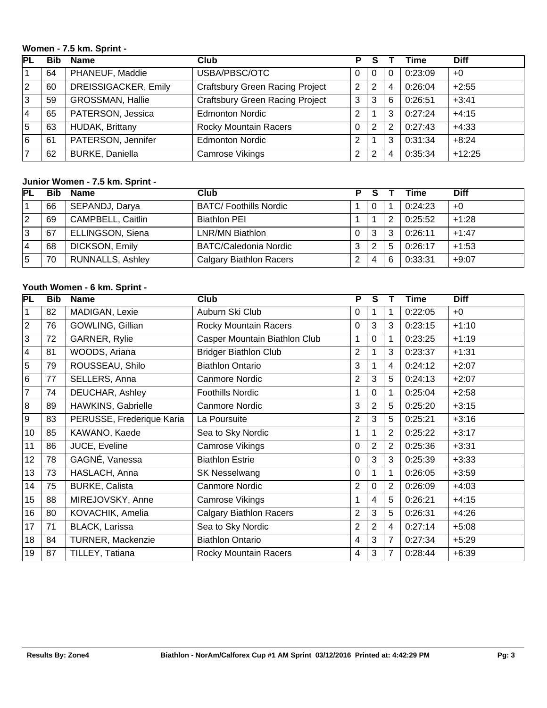#### **Women - 7.5 km. Sprint -**

| PL             | Bib | <b>Name</b>             | Club                                   | Р |   |   | Time    | <b>Diff</b> |
|----------------|-----|-------------------------|----------------------------------------|---|---|---|---------|-------------|
|                | 64  | PHANEUF, Maddie         | USBA/PBSC/OTC                          |   | 0 |   | 0:23:09 | $+0$        |
| $ 2\rangle$    | 60  | DREISSIGACKER, Emily    | <b>Craftsbury Green Racing Project</b> | 2 | 2 |   | 0:26:04 | $+2:55$     |
| ΙЗ             | 59  | <b>GROSSMAN, Hallie</b> | <b>Craftsbury Green Racing Project</b> | 3 | 3 | 6 | 0:26:51 | $+3:41$     |
| 14             | 65  | PATERSON, Jessica       | <b>Edmonton Nordic</b>                 | 2 |   |   | 0:27:24 | $+4:15$     |
| 5              | 63  | <b>HUDAK, Brittany</b>  | <b>Rocky Mountain Racers</b>           | 0 | 2 |   | 0:27:43 | $+4:33$     |
| 16             | 61  | PATERSON, Jennifer      | <b>Edmonton Nordic</b>                 | 2 |   |   | 0:31:34 | $+8:24$     |
| $\overline{7}$ | 62  | <b>BURKE, Daniella</b>  | Camrose Vikings                        | 2 | 2 |   | 0:35:34 | $+12:25$    |

#### **Junior Women - 7.5 km. Sprint -**

| <b>PL</b> | Bib | <b>Name</b>              | Club                           | D        |                |   | Time    | <b>Diff</b> |
|-----------|-----|--------------------------|--------------------------------|----------|----------------|---|---------|-------------|
|           | 66  | SEPANDJ, Darya           | <b>BATC/Foothills Nordic</b>   |          | $\Omega$       |   | 0:24:23 | $+0$        |
| 2         | 69  | <b>CAMPBELL, Caitlin</b> | <b>Biathlon PEI</b>            |          | 1              |   | 0:25:52 | $+1:28$     |
| 3         | 67  | ELLINGSON, Siena         | LNR/MN Biathlon                | $\Omega$ | 3              |   | 0:26:11 | $+1:47$     |
| 4         | 68  | DICKSON, Emily           | <b>BATC/Caledonia Nordic</b>   | 3        | 2              | 5 | 0:26:17 | $+1:53$     |
| 5         | 70  | <b>RUNNALLS, Ashley</b>  | <b>Calgary Biathlon Racers</b> |          | $\overline{4}$ | 6 | 0:33:31 | $+9:07$     |

# **Youth Women - 6 km. Sprint -**

| PL             | <b>Bib</b> | <b>Name</b>               | <b>Club</b>                    | P              | $\overline{s}$ |                | Time    | <b>Diff</b> |
|----------------|------------|---------------------------|--------------------------------|----------------|----------------|----------------|---------|-------------|
| 1              | 82         | MADIGAN, Lexie            | Auburn Ski Club                | 0              | 1              |                | 0:22:05 | $+0$        |
| $\overline{2}$ | 76         | GOWLING, Gillian          | Rocky Mountain Racers          | 0              | 3              | 3              | 0:23:15 | $+1:10$     |
| 3              | 72         | GARNER, Rylie             | Casper Mountain Biathlon Club  | 1              | 0              |                | 0:23:25 | $+1:19$     |
| $\overline{4}$ | 81         | WOODS, Ariana             | <b>Bridger Biathlon Club</b>   | 2              | 1              | 3              | 0:23:37 | $+1:31$     |
| 5              | 79         | ROUSSEAU, Shilo           | <b>Biathlon Ontario</b>        | 3              | 1              | 4              | 0:24:12 | $+2:07$     |
| $6\phantom{1}$ | 77         | SELLERS, Anna             | <b>Canmore Nordic</b>          | $\overline{2}$ | 3              | 5              | 0:24:13 | $+2:07$     |
| $\overline{7}$ | 74         | DEUCHAR, Ashley           | <b>Foothills Nordic</b>        | 1              | 0              |                | 0:25:04 | $+2:58$     |
| 8              | 89         | HAWKINS, Gabrielle        | Canmore Nordic                 | 3              | $\overline{2}$ | 5              | 0:25:20 | $+3:15$     |
| 9              | 83         | PERUSSE, Frederique Karia | La Poursuite                   | 2              | 3              | 5              | 0:25:21 | $+3:16$     |
| 10             | 85         | KAWANO, Kaede             | Sea to Sky Nordic              | 1              | 1              | $\overline{2}$ | 0:25:22 | $+3:17$     |
| 11             | 86         | JUCE, Eveline             | Camrose Vikings                | 0              | 2              | 2              | 0:25:36 | $+3:31$     |
| 12             | 78         | GAGNÉ, Vanessa            | <b>Biathlon Estrie</b>         | $\Omega$       | 3              | 3              | 0:25:39 | $+3:33$     |
| 13             | 73         | HASLACH, Anna             | <b>SK Nesselwang</b>           | $\Omega$       | 1              |                | 0:26:05 | $+3:59$     |
| 14             | 75         | <b>BURKE, Calista</b>     | <b>Canmore Nordic</b>          | $\overline{2}$ | $\overline{0}$ | 2              | 0:26:09 | $+4:03$     |
| 15             | 88         | MIREJOVSKY, Anne          | Camrose Vikings                | 1              | $\overline{4}$ | 5              | 0:26:21 | $+4:15$     |
| 16             | 80         | KOVACHIK, Amelia          | <b>Calgary Biathlon Racers</b> | $\overline{2}$ | 3              | 5              | 0:26:31 | $+4:26$     |
| 17             | 71         | <b>BLACK, Larissa</b>     | Sea to Sky Nordic              | 2              | $\overline{2}$ | 4              | 0:27:14 | $+5:08$     |
| 18             | 84         | TURNER, Mackenzie         | <b>Biathlon Ontario</b>        | 4              | 3              | 7              | 0:27:34 | $+5:29$     |
| 19             | 87         | TILLEY, Tatiana           | Rocky Mountain Racers          | 4              | 3              | 7              | 0:28:44 | $+6:39$     |